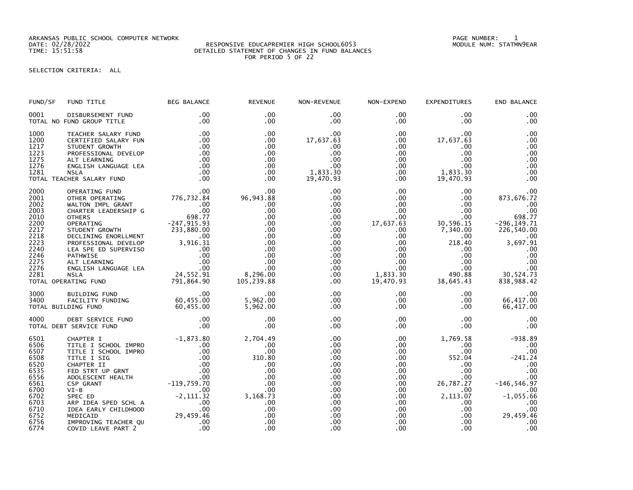ARKANSAS PUBLIC SCHOOL COMPUTER NETWORK PAGE NUMBER: 1

## DATE: 02/28/2022 RESPONSIVE EDUCAPREMIER HIGH SCHOOL6053 MODULE NUM: STATMN9EAR TIME: 15:51:58 DETAILED STATEMENT OF CHANGES IN FUND BALANCES FOR PERIOD 5 OF 22

SELECTION CRITERIA: ALL

| FUND/SF                                                                                                              | FUND TITLE                                                                                                                                                                                                                                                                                | <b>BEG BALANCE</b>                                                                                                                                                    | <b>REVENUE</b>                                                                                                          | NON-REVENUE                                                                                                                                                                      | NON-EXPEND                                                                                                                                                                         | <b>EXPENDITURES</b>                                                                                                                                                       | END BALANCE                                                                                                                                            |
|----------------------------------------------------------------------------------------------------------------------|-------------------------------------------------------------------------------------------------------------------------------------------------------------------------------------------------------------------------------------------------------------------------------------------|-----------------------------------------------------------------------------------------------------------------------------------------------------------------------|-------------------------------------------------------------------------------------------------------------------------|----------------------------------------------------------------------------------------------------------------------------------------------------------------------------------|------------------------------------------------------------------------------------------------------------------------------------------------------------------------------------|---------------------------------------------------------------------------------------------------------------------------------------------------------------------------|--------------------------------------------------------------------------------------------------------------------------------------------------------|
| 0001                                                                                                                 | DISBURSEMENT FUND<br>TOTAL NO FUND GROUP TITLE                                                                                                                                                                                                                                            | .00<br>.00                                                                                                                                                            | .00<br>$.00 \,$                                                                                                         | $.00 \,$<br>$.00 \,$                                                                                                                                                             | $.00 \,$<br>.00                                                                                                                                                                    | .00<br>$.00 \times$                                                                                                                                                       | .00<br>.00                                                                                                                                             |
| 1000<br>1200<br>1217<br>1223<br>1275<br>1276<br>1281                                                                 | TEACHER SALARY FUND<br>CERTIFIED SALARY FUN<br>STUDENT GROWTH<br>PROFESSIONAL DEVELOP<br>ALT LEARNING<br>ENGLISH LANGUAGE LEA<br>NSIA<br><b>NSLA</b><br>TOTAL TEACHER SALARY FUND                                                                                                         | .00<br>.00<br>$\begin{array}{c} .00\ 00\ 00 \end{array}$<br>.00<br>.00<br>.00                                                                                         | .00<br>$.00 \,$<br>.00<br>.00<br>$.00 \,$<br>$.00 \times$<br>$.00 \,$<br>$.00 \ \,$                                     | $.00 \,$<br>17,637.63<br>.00<br>.00<br>.00<br>.00<br>1,833.30<br>19,470.93                                                                                                       | $.00 \,$<br>$.00 \,$<br>.00<br>$.00 \,$<br>$.00 \cdot$<br>$.00\,$<br>$.00 \,$<br>$.00 \,$                                                                                          | .00<br>17,637.63<br>.00<br>.00<br>$.00 \cdot$<br>$.00 \,$<br>1,833.30<br>19,470.93                                                                                        | .00<br>.00<br>.00<br>.00<br>.00<br>.00<br>.00<br>.00                                                                                                   |
| 2000<br>2001<br>2002<br>2003<br>2010<br>2200<br>2217<br>2218<br>2223<br>2240<br>2246<br>2275<br>2276<br>2281         | OPERATING FUND<br>OPERATING FUND<br>OTHER OPERATING 776,732.84<br>CHARTER LEADERSHIP G<br>CHARTER CHART<br>OTHERS 698.77<br>OPERATING 7247,915.93<br>STUDENT GROWTH 233,880.00<br>DECLINING ENORLMENT 000<br>PROFESSIONAL DEVELOP 3,916.31<br>PROF<br>TOTAL OPERATING FUND                |                                                                                                                                                                       | 00.<br>96,943.88<br>.00<br>.00<br>.00<br>.00<br>.00<br>.00<br>.00<br>.00<br>.00<br>.00<br>.00<br>8,296.00<br>105,239.88 | $.00 \,$<br>$.00 \,$<br>$.00 \,$<br>$.00 \,$<br>$.00 \,$<br>$.00 \,$<br>$.00 \,$<br>$.00 \,$<br>$.00 \,$<br>$.00 \,$<br>$.00 \,$<br>$.00 \,$<br>$.00 \,$<br>$.00 \,$<br>$.00 \,$ | $.00 \,$<br>$.00 \,$<br>$.00 \,$<br>$.00 \,$<br>$.00 \,$<br>17,637.63<br>$.00 \,$<br>$.00 \,$<br>$.00 \,$<br>$.00 \,$<br>$.00 \,$<br>$.00 \,$<br>$.00 \,$<br>1,833.30<br>19,470.93 | $.00 \,$<br>$.00 \,$<br>$.00 \,$<br>$.00 \,$<br>$.00 \,$<br>30,596.15<br>7,340.00<br>.00<br>218.40<br>$.00 \,$<br>$.00 \,$<br>.00<br>$.00 \,$<br>490.88<br>38,645.43      | .00<br>873,676.72<br>.00<br>.00<br>698.77<br>$-296, 149.71$<br>226,540.00<br>.00<br>3,697.91<br>.00<br>.00<br>.00<br>00<br>30,524.73<br>838,988.42     |
| 3000<br>3400                                                                                                         | 100<br>FACILITY FUNDING<br>DING FUND<br>DING FUND<br>DING TUND<br>DING TOND<br>DING TOND<br>DING TOND<br>DING TOND<br>TOTAL BUILDING FUND                                                                                                                                                 |                                                                                                                                                                       | .00<br>5,962.00<br>5,962.00                                                                                             | $.00 \,$<br>$.00 \,$<br>$.00 \,$                                                                                                                                                 | $.00 \,$<br>$.00 \,$<br>$.00 \,$                                                                                                                                                   | $.00 \,$<br>$.00 \,$<br>$.00 \,$                                                                                                                                          | .00<br>66,417.00<br>66,417.00                                                                                                                          |
| 4000                                                                                                                 | TOTAL DEBT SERVICE FUND                                                                                                                                                                                                                                                                   |                                                                                                                                                                       | .00<br>.00                                                                                                              | .00<br>$.00 \,$                                                                                                                                                                  | $.00 \,$<br>.00                                                                                                                                                                    | $.00 \,$<br>.00 <sub>1</sub>                                                                                                                                              | .00<br>.00                                                                                                                                             |
| 6501<br>6506<br>6507<br>6508<br>6520<br>6535<br>6556<br>6561<br>6700<br>6702<br>6703<br>6710<br>6752<br>6756<br>6774 | CHAPTER I<br>TITLE I SCHOOL IMPRO<br>TITLE I SCHOOL IMPRO<br>TITLE I SIG<br>CHAPTER II<br>CHAPTER II<br>FED STRT UP GRNT<br>ADOLESCENT HEALTH<br>CSP GRANT<br>$VI-B$<br>SPEC ED<br>ARP IDEA SPED SCHL A<br>IDEA EARLY CHILDHOOD<br>MEDICAID<br>IMPROVING TEACHER QU<br>COVID LEAVE PART 2 | $-1,873.80$<br>$0.00$<br>$0.00$<br>$0.00$<br>$0.00$<br>$0.00$<br>$-119,759.70$<br>$0.00$<br>$.00 \,$<br>$-2, 111.32$<br>$57 - 00$<br>00<br>00 .09 .459<br>00 .<br>.00 | 2,704.49<br>.00<br>.00<br>310.80<br>.00<br>.00<br>.00<br>.00<br>.00<br>3,168.73<br>.00<br>.00<br>.00<br>.00<br>.00      | $.00 \,$<br>$.00 \,$<br>.00<br>.00<br>.00<br>.00<br>.00<br>$.00 \,$<br>$.00 \,$<br>$.00 \,$<br>$.00 \,$<br>$.00 \,$<br>.00<br>.00<br>.00                                         | $.00 \,$<br>$.00 \,$<br>$.00 \,$<br>.00<br>$.00 \,$<br>$.00 \,$<br>$.00 \,$<br>.00<br>$.00 \,$<br>$.00 \,$<br>.00<br>$.00 \,$<br>$.00 \,$<br>$.00 \,$<br>.00                       | 1,769.58<br>.00<br>$.00 \,$<br>552.04<br>$.00 \,$<br>$.00 \,$<br>$.00 \,$<br>26,787.27<br>$.00 \,$<br>2,113.07<br>$.00 \,$<br>$.00 \,$<br>$.00 \,$<br>$.00 \times$<br>.00 | $-938.89$<br>.00<br>.00<br>$-241.24$<br>.00<br>.00<br>.00<br>$-146, 546.97$<br>.00<br>$-1,055.66$<br>.00<br>.00<br>29,459.46<br>.00<br>$\overline{00}$ |